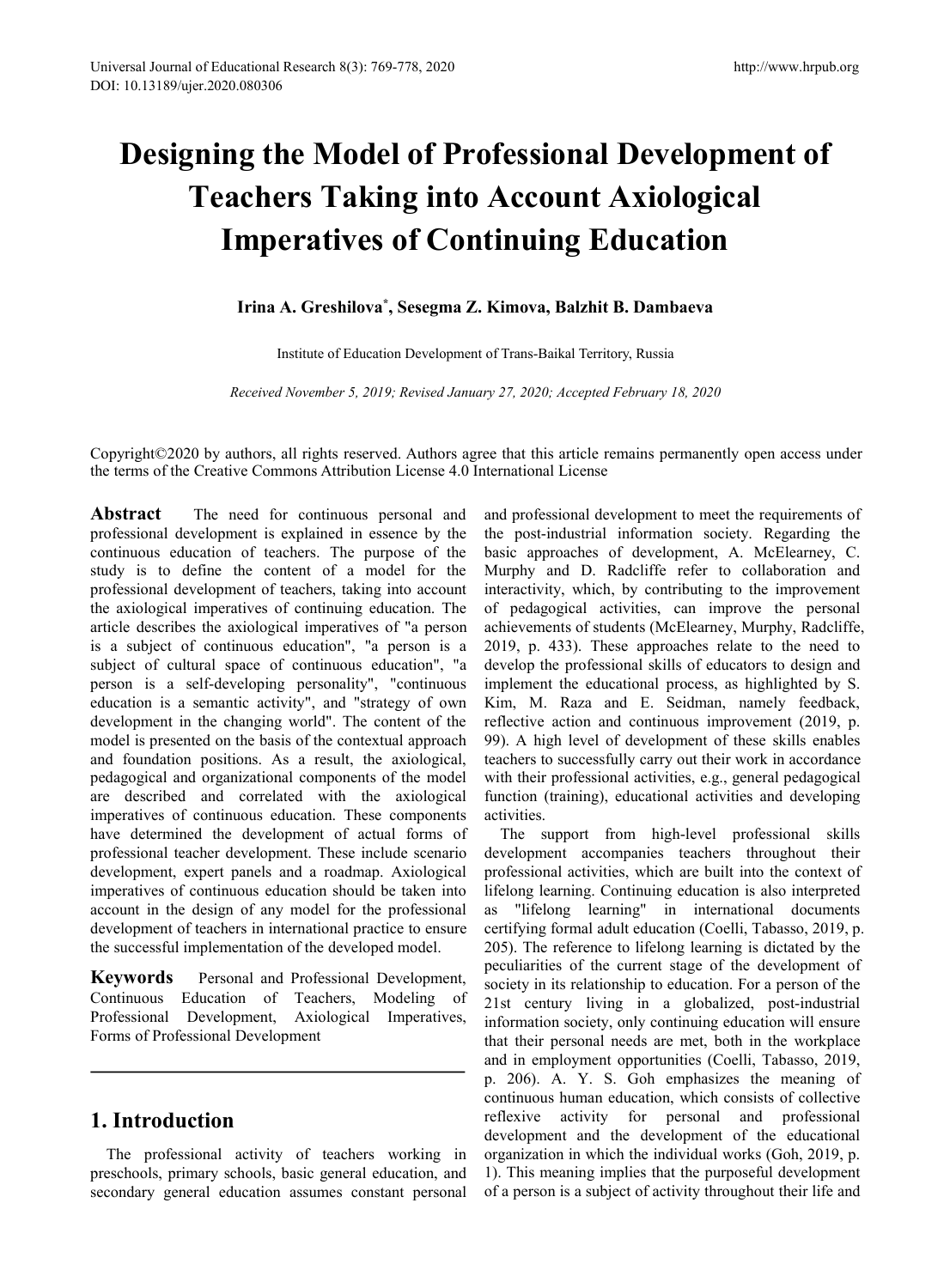# **Designing the Model of Professional Development of Teachers Taking into Account Axiological Imperatives of Continuing Education Account Axiological**<br> **Imperatives of Continuing Education**<br> **Irina A. Greshilova\*, Sesegma Z. Kimova, Balzhit B. Dambaeva**<br>
Institute of Education Development of Trans-Baikal Territory, Russia<br> *Received November 5, 2019*

#### **Irina A. Greshilova \* , Sesegma Z. Kimova, Balzhit B. Dambaeva**

Institute of Education Development of Trans-Baikal Territory, Russia

Copyright©2020 by authors, all rights reserved. Authors agree that this article remains permanently open access under the terms ofthe Creative Commons Attribution License 4.0 International License

Abstract The need for continuous personal and professional development is explained in essence by the continuous education of teachers. The purpose of the study is to define the content of a model for the professional development of teachers, taking into account the axiological imperatives of continuing education. The article describes the axiological imperatives of "a person is a subject of continuous education", "a person is a subject of cultural space of continuous education", "a person is a self-developing personality", "continuous education is a semantic activity", and "strategy of own Kim, M. Raza and E. Seidman, namely feedback, development in the changing world". The content of the model is presented on the basis of the contextual approach and foundation positions. As a result, the axiological, pedagogical and organizational components of the model are described and correlated with the axiological imperatives of continuous education. These components have determined the development of actual forms of professional teacher development. These include scenario development, expert panels and a roadmap. Axiological imperatives of continuous education should be taken into account in the design of any model for the professional development of teachers in international practice to ensure the successful implementation of the developed model.

**Keywords** Personal and Professional Development, Continuous Education of Teachers, Modeling of Professional Development, Axiological Imperatives, Forms of Professional Development

# **1. Introduction**

The professional activity of teachers working in preschools, primary schools, basic general education, and secondary general education assumes constant personal and professional development to meet the requirements of the post-industrial information society. Regarding the basic approaches of development, A. McElearney, C. Murphy and D. Radcliffe refer to collaboration and interactivity, which, by contributing to the improvement of pedagogical activities, can improve the personal achievements of students (McElearney, Murphy, Radcliffe, 2019, p. 433). These approaches relate to the need to develop the professional skills of educators to design and implement the educational process, as highlighted by S. reflective action and continuous improvement (2019, p. 99). A high level of development of these skills enables teachers to successfully carry out their work in accordance with their professional activities, e.g., general pedagogical function (training), educational activities and developing activities.

The support from high-level professional skills development accompanies teachers throughout their professional activities, which are built into the context of lifelong learning. Continuing education is also interpreted as "lifelong learning" in international documents certifying formal adult education (Coelli, Tabasso, 2019, p. 205). The reference to lifelong learning is dictated by the peculiarities of the current stage of the development of society in its relationship to education. For a person of the 21st century living in a globalized, post-industrial information society, only continuing education will ensure that their personal needs are met, both in the workplace and in employment opportunities (Coelli, Tabasso, 2019, p. 206). A. Y. S. Goh emphasizes the meaning of continuous human education, which consists of collective reflexive activity for personal and professional development and the development of the educational organization in which the individual works (Goh,2019, p. 1). This meaning implies that the purposeful development of a person is a subject of activity throughout their life and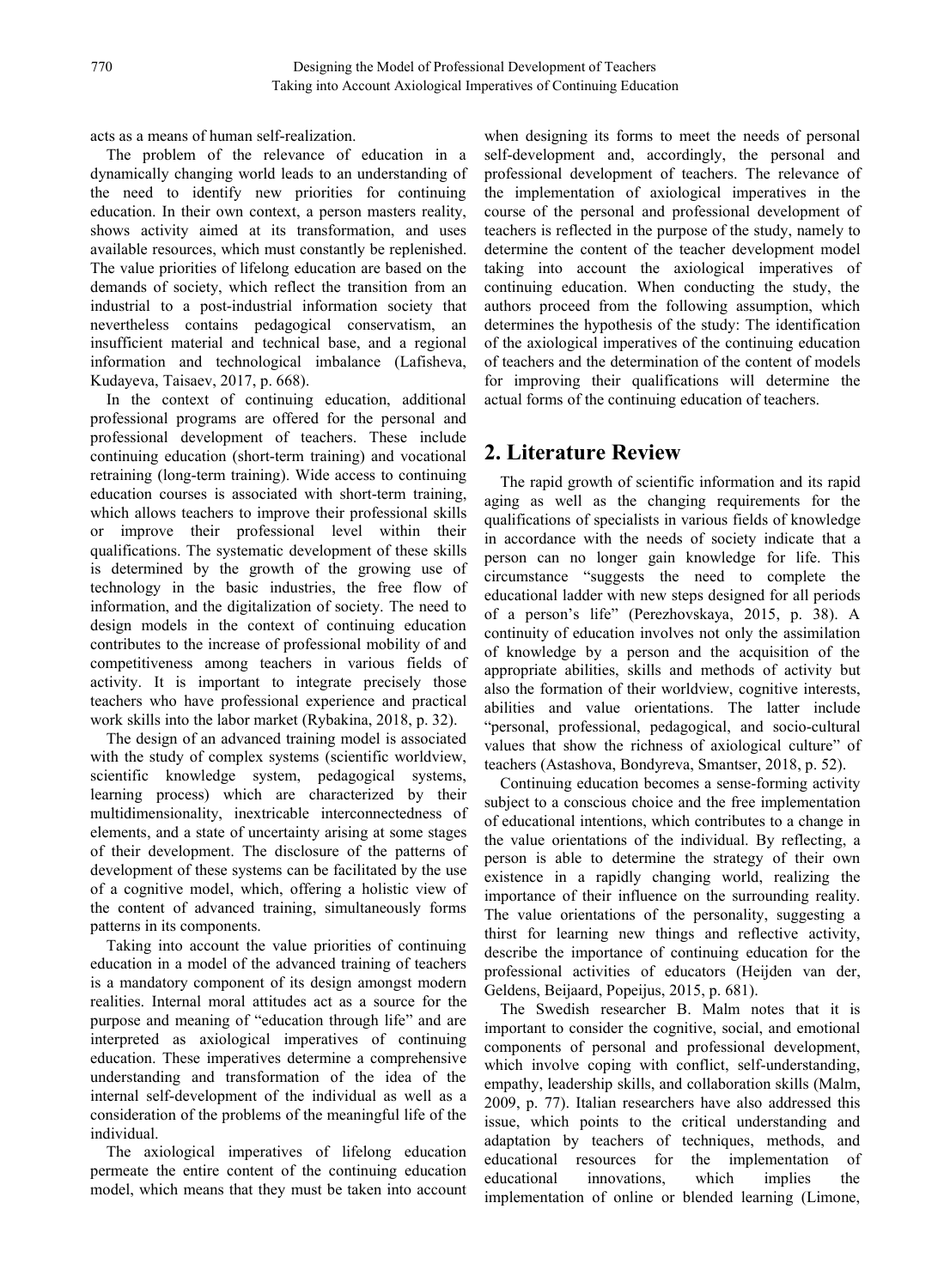acts as a means of human self-realization.

The problem of the relevance of education in a dynamically changing world leads to an understanding of the need to identify new priorities for continuing education. In their own context, a person masters reality, shows activity aimed at its transformation, and uses available resources, which must constantly be replenished. The value priorities of lifelong education are based on the demands of society, which reflect the transition from an industrial to a post-industrial information society that nevertheless contains pedagogical conservatism, an insufficient material and technical base, and a regional information and technological imbalance (Lafisheva, Kudayeva, Taisaev, 2017, p. 668).

In the context of continuing education, additional professional programs are offered for the personal and professional development of teachers. These include continuing education (short-term training) and vocational retraining (long-term training). Wide access to continuing education courses is associated with short-term training, which allows teachers to improve their professional skills or improve their professional level within their qualifications. The systematic development of these skills is determined by the growth of the growing use of technology in the basic industries, the free flow of information, and the digitalization of society. The need to design models in the context of continuing education contributes to the increase of professional mobility of and competitiveness among teachers in various fields of activity. It is important to integrate precisely those teachers who have professional experience and practical work skills into the labor market (Rybakina, 2018, p. 32).

The design of an advanced training model is associated with the study of complex systems (scientific worldview, scientific knowledge system, pedagogical systems, learning process) which are characterized by their multidimensionality, inextricable interconnectedness of elements, and a state of uncertainty arising at some stages of their development. The disclosure of the patterns of development of these systems can be facilitated by the use of a cognitive model, which, offering a holistic view of the content of advanced training, simultaneously forms patterns in its components.

Taking into account the value priorities of continuing education in a model of the advanced training of teachers is a mandatory component of its design amongst modern realities. Internal moral attitudes act as a source for the purpose and meaning of "education through life" and are interpreted as axiological imperatives of continuing education. These imperatives determine a comprehensive understanding and transformation of the idea of the internal self-development of the individual as well as a consideration of the problems of the meaningful life of the individual.

The axiological imperatives of lifelong education educational resources permeate the entire content of the continuing education educational model, which means that they must be taken into account

when designing its forms to meet the needs of personal self-development and, accordingly, the personal and professional development of teachers. The relevance of the implementation of axiological imperatives in the course of the personal and professional development of teachers is reflected in the purpose of the study, namely to determine the content of the teacher development model taking into account the axiological imperatives of continuing education.When conducting the study, the authors proceed from the following assumption, which determines the hypothesis of the study: The identification of the axiological imperatives of the continuing education of teachers and the determination of the content of models for improving their qualifications will determine the actual forms of the continuing education of teachers.

# **2. Literature Review**

The rapid growth of scientific information and its rapid aging as well as the changing requirements for the qualifications of specialists in various fields of knowledge in accordance with the needs of society indicate that a person can no longer gain knowledge for life. This circumstance "suggests the need to complete the educational ladder with new steps designed for all periods of a person's life" (Perezhovskaya, 2015, p. 38). A continuity of education involves not only the assimilation of knowledge by a person and the acquisition of the appropriate abilities, skills and methods of activity but also the formation of their worldview, cognitive interests, abilities and value orientations. The latter include "personal, professional, pedagogical, and socio-cultural values that show the richness of axiological culture" of teachers (Astashova, Bondyreva, Smantser, 2018, p. 52).

Continuing education becomes a sense-forming activity subject to a conscious choice and the free implementation of educational intentions, which contributes to a change in the value orientations of the individual. By reflecting, a person is able to determine the strategy of their own existence in a rapidly changing world, realizing the importance of their influence on the surrounding reality. The value orientations of the personality, suggesting a thirst for learning new things and reflective activity, describe the importance of continuing education for the professional activities of educators (Heijden van der, Geldens, Beijaard, Popeijus, 2015, p. 681).

The Swedish researcher B. Malm notes that it is important to consider the cognitive, social, and emotional components of personal and professional development, which involve coping with conflict, self-understanding, empathy, leadership skills, and collaboration skills (Malm, 2009, p. 77). Italian researchers have also addressed this issue, which points to the critical understanding and adaptation by teachers of techniques, methods, and for the implementation of innovations, which implies the implementation of online or blended learning (Limone,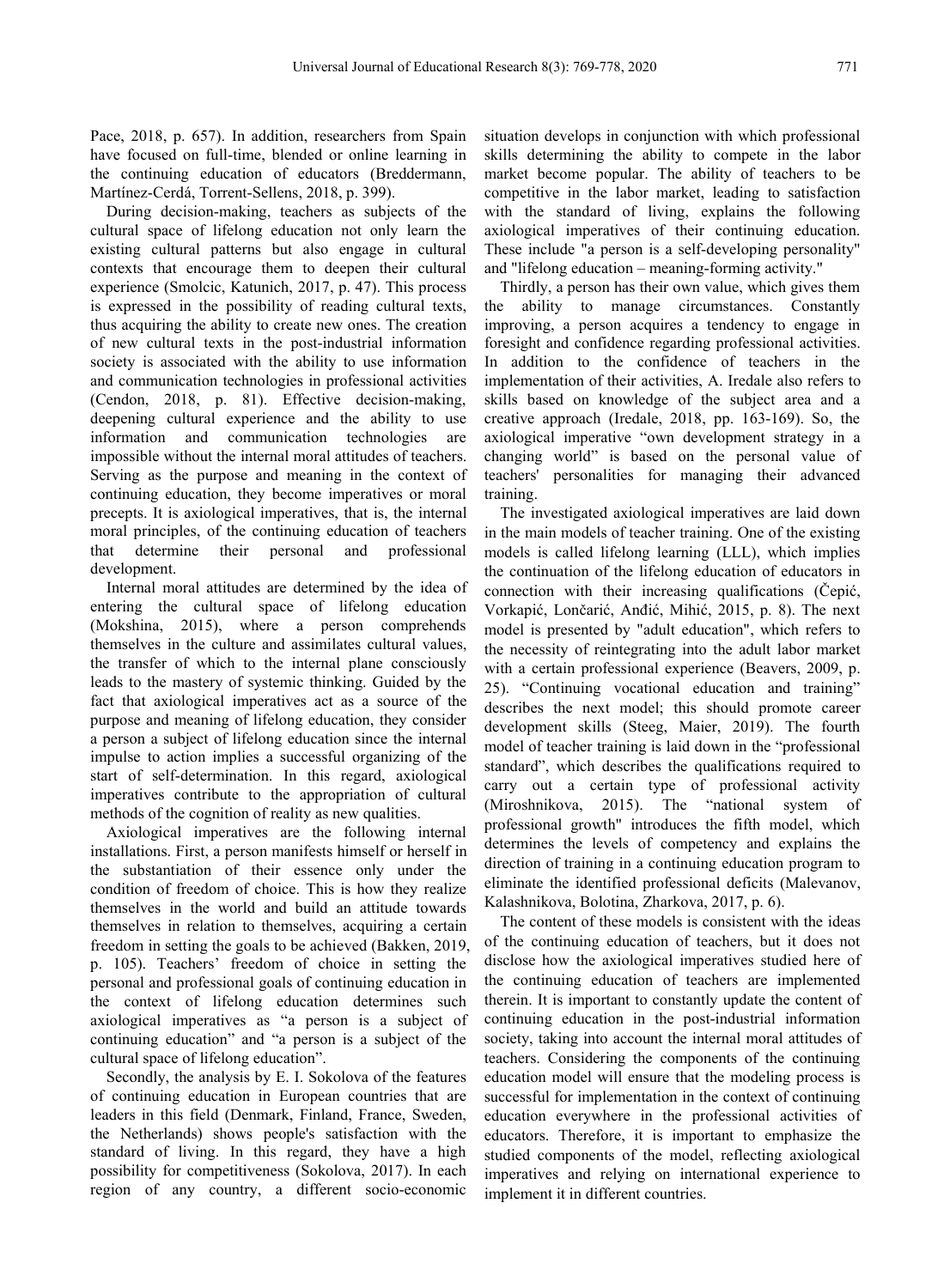Pace, 2018, p. 657). In addition, researchers from Spain have focused on full-time, blended or online learning in the continuing education of educators (Breddermann, Martínez-Cerdá, Torrent-Sellens, 2018, p. 399).

During decision-making, teachers as subjects of the cultural space of lifelong education not only learn the existing cultural patterns but also engage in cultural contexts that encourage them to deepen their cultural experience (Smolcic, Katunich, 2017, p. 47). This process is expressed in the possibility of reading cultural texts, thus acquiring the ability to create new ones. The creation of new cultural texts in the post-industrial information society is associated with the ability to use information and communication technologies in professional activities (Cendon, 2018, p. 81). Effective decision-making, deepening cultural experience and the ability to use information and communication technologies are impossible without the internal moral attitudes of teachers. Serving as the purpose and meaning in the context of continuing education, they become imperatives or moral precepts. It is axiological imperatives, that is, the internal moral principles, of the continuing education of teachers that determine their personal and professional development.

Internal moral attitudes are determined by the idea of entering the cultural space of lifelong education (Mokshina, 2015), where a person comprehends themselves in the culture and assimilates cultural values, the transfer of which to the internal plane consciously leads to the mastery of systemic thinking. Guided by the fact that axiological imperatives act as a source of the purpose and meaning of lifelong education, they consider a person a subject of lifelong education since the internal impulse to action implies a successful organizing of the start of self-determination. In this regard, axiological imperatives contribute to the appropriation of cultural methods of the cognition of reality as new qualities.

Axiological imperatives are the following internal installations. First, a person manifests himself or herself in the substantiation of their essence only under the condition of freedom of choice. This is how they realize themselves in the world and build an attitude towards themselves in relation to themselves, acquiring a certain freedom in setting the goals to be achieved (Bakken, 2019, p. 105). Teachers' freedom of choice in setting the personal and professional goals of continuing education in the context of lifelong education determines such axiological imperatives as "a person is a subject of continuing education" and "a person is a subject of the cultural space of lifelong education".

Secondly, the analysis by E. I. Sokolova of the features of continuing education in European countries that are leaders in this field (Denmark, Finland, France, Sweden, the Netherlands) shows people's satisfaction with the standard of living. In this regard, they have a high possibility for competitiveness (Sokolova, 2017). In each region of any country, a different socio-economic situation develops in conjunction with which professional skills determining the ability to compete in the labor market become popular. The ability of teachers to be competitive in the labor market, leading to satisfaction with the standard of living, explains the following axiological imperatives of their continuing education. These include "a person is a self-developing personality" and "lifelong education – meaning-forming activity."

Thirdly, a person has their own value, which gives them the ability to manage circumstances. Constantly improving, a person acquires a tendency to engage in foresight and confidence regarding professional activities. In addition to the confidence of teachers in the implementation of their activities, A. Iredale also refers to skills based on knowledge of the subject area and a creative approach (Iredale, 2018, pp. 163-169). So, the axiological imperative "own development strategy in a changing world" is based on the personal value of teachers' personalities for managing their advanced training.

The investigated axiological imperatives are laid down in the main models of teacher training. One of the existing models is called lifelong learning (LLL), which implies the continuation of the lifelong education of educators in connection with their increasing qualifications (Čepić, Vorkapić, Lončarić, Anđić, Mihić, 2015, p. 8). The next model is presented by "adult education", which refers to the necessity of reintegrating into the adult labor market with a certain professional experience (Beavers, 2009, p. 25). "Continuing vocational education and training" describes the next model; this should promote career development skills (Steeg, Maier, 2019). The fourth model of teacher training is laid down in the "professional standard", which describes the qualifications required to carry out a certain type of professional activity (Miroshnikova, 2015). The "national system of professional growth" introduces the fifth model, which determines the levels of competency and explains the direction of training in a continuing education program to eliminate the identified professional deficits (Malevanov, Kalashnikova, Bolotina, Zharkova, 2017, p. 6).

The content of these models is consistent with the ideas of the continuing education of teachers, but it does not disclose how the axiological imperatives studied here of the continuing education of teachers are implemented therein. It is important to constantly update the content of continuing education in the post-industrial information society, taking into account the internal moral attitudes of teachers. Considering the components of the continuing education model will ensure that the modeling process is successful for implementation in the context of continuing education everywhere in the professional activities of educators. Therefore, it is important to emphasize the studied components of the model, reflecting axiological imperatives and relying on international experience to implement it in different countries.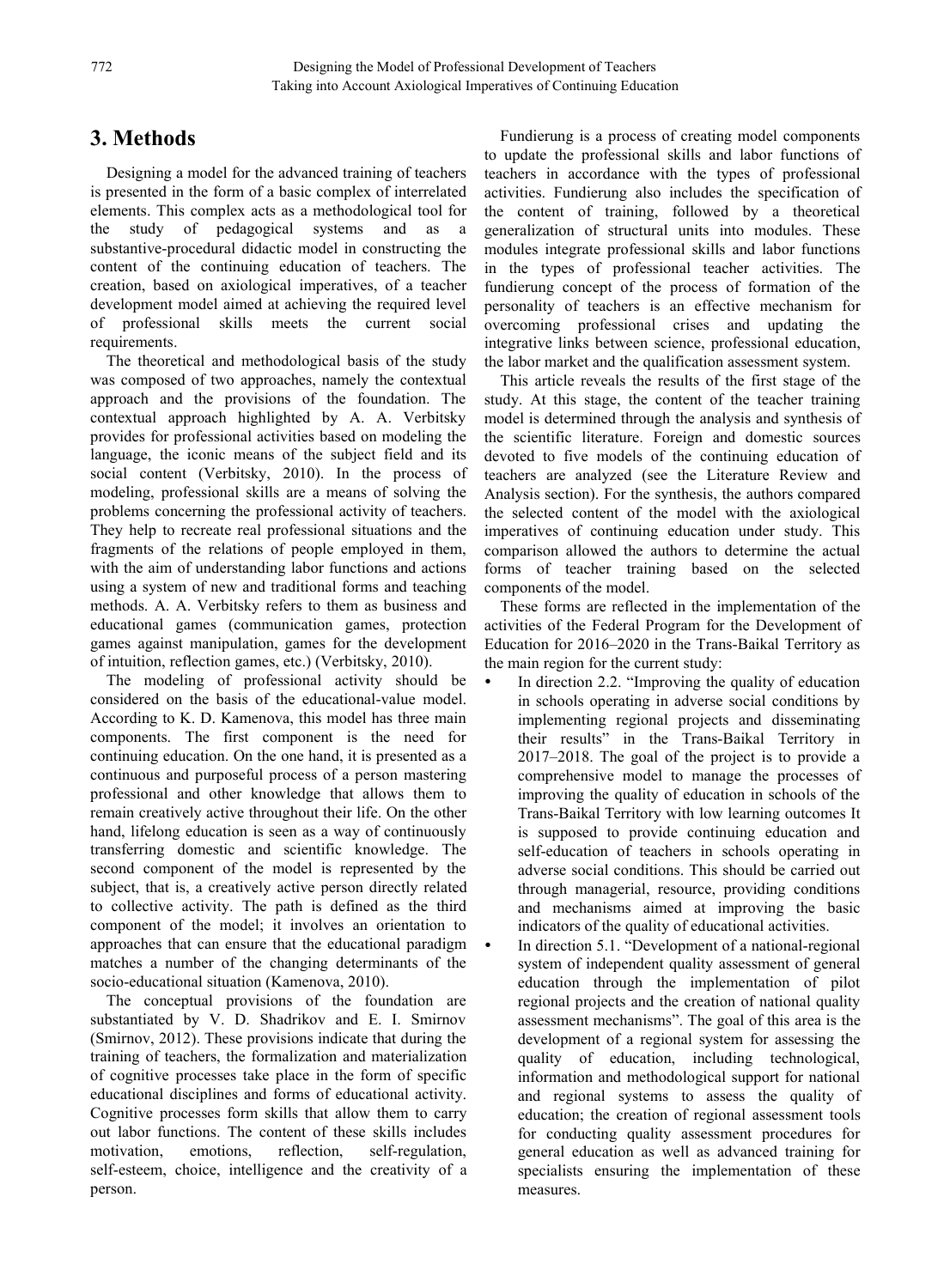# **3. Methods**

Designing a model for the advanced training of teachers is presented in the form of a basic complex of interrelated elements. This complex acts as a methodological tool for the study of pedagogical systems and as a substantive-procedural didactic model in constructing the content of the continuing education of teachers. The creation, based on axiological imperatives, of a teacher development model aimed at achieving the required level of professional skills meets the current social requirements.

The theoretical and methodological basis of the study was composed of two approaches, namely the contextual approach and the provisions of the foundation. The contextual approach highlighted by A. A. Verbitsky provides for professional activities based on modeling the language, the iconic means of the subject field and its social content (Verbitsky, 2010). In the process of modeling, professional skills are a means of solving the problems concerning the professional activity of teachers. They help to recreate real professional situations and the fragments of the relations of people employed in them, with the aim of understanding labor functions and actions using a system of new and traditional forms and teaching methods. A. A. Verbitsky refers to them as business and educational games (communication games, protection games against manipulation, games for the development of intuition, reflection games, etc.) (Verbitsky, 2010).

The modeling of professional activity should be considered on the basis of the educational-value model. According to K. D. Kamenova, this model has three main components. The first component is the need for continuing education. On the one hand, it is presented as a continuous and purposeful process of a person mastering professional and other knowledge that allows them to remain creatively active throughout their life. On the other hand, lifelong education is seen as a way of continuously transferring domestic and scientific knowledge. The second component of the model is represented by the subject, that is, a creatively active person directly related to collective activity. The path is defined as the third component of the model; it involves an orientation to approaches that can ensure that the educational paradigm matches a number of the changing determinants of the socio-educational situation (Kamenova, 2010).

The conceptual provisions of the foundation are substantiated by V. D. Shadrikov and E. I. Smirnov (Smirnov, 2012). These provisions indicate that during the training of teachers, the formalization and materialization of cognitive processes take place in the form of specific educational disciplines and forms of educational activity. Cognitive processes form skills that allow them to carry out labor functions. The content of these skills includes motivation, emotions, reflection, self-regulation, self-esteem, choice, intelligence and the creativity of a person.

Fundierung is a process of creating model components to update the professional skills and labor functions of teachers in accordance with the types of professional activities. Fundierung also includes the specification of the content of training, followed by a theoretical generalization of structural units into modules. These modules integrate professional skills and labor functions in the types of professional teacher activities. The fundierung concept of the process of formation of the personality of teachers is an effective mechanism for overcoming professional crises and updating the integrative links between science, professional education, the labor market and the qualification assessment system.

This article reveals the results of the first stage of the study. At this stage, the content of the teacher training model is determined through the analysis and synthesis of the scientific literature. Foreign and domestic sources devoted to five models of the continuing education of teachers are analyzed (see the Literature Review and Analysis section). For the synthesis, the authors compared the selected content of the model with the axiological imperatives of continuing education under study. This comparison allowed the authors to determine the actual forms of teacher training based on the selected components of the model.

These forms are reflected in the implementation of the activities of the Federal Program for the Development of Education for 2016–2020 in the Trans-Baikal Territory as the main region for the current study:

- In direction 2.2. "Improving the quality of education in schools operating in adverse social conditions by implementing regional projects and disseminating their results" in the Trans-Baikal Territory in 2017–2018. The goal of the project is to provide a comprehensive model to manage the processes of improving the quality of education in schools of the Trans-Baikal Territory with low learning outcomes It is supposed to provide continuing education and self-education of teachers in schools operating in adverse social conditions. This should be carried out through managerial, resource, providing conditions and mechanisms aimed at improving the basic indicators of the quality of educational activities.
	- In direction 5.1. "Development of a national-regional system of independent quality assessment of general education through the implementation of pilot regional projects and the creation of national quality assessment mechanisms". The goal of this area is the development of a regional system for assessing the quality of education, including technological, information and methodological support for national and regional systems to assess the quality of education; the creation of regional assessment tools for conducting quality assessment procedures for general education as well as advanced training for specialists ensuring the implementation of these measures.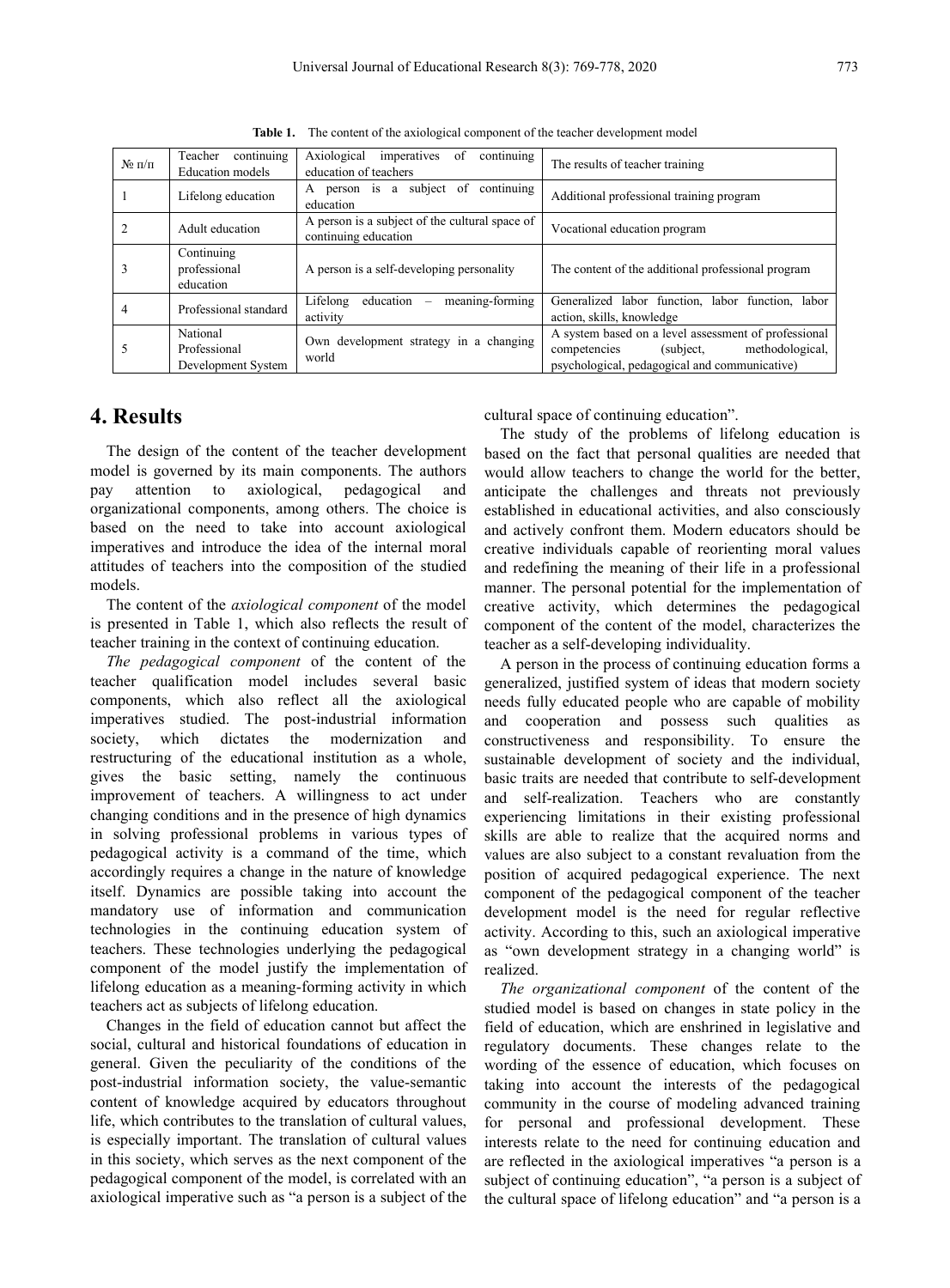| $N$ оп/п       | continuing<br>Teacher<br><b>Education</b> models | continuing<br>Axiological<br>imperatives<br>-of<br>education of teachers                                                                 | The results of teacher training                                                                                                                       |  |
|----------------|--------------------------------------------------|------------------------------------------------------------------------------------------------------------------------------------------|-------------------------------------------------------------------------------------------------------------------------------------------------------|--|
|                | Lifelong education                               | continuing<br>person is a subject of<br>A<br>Additional professional training program<br>education                                       |                                                                                                                                                       |  |
| $\overline{2}$ | Adult education                                  | A person is a subject of the cultural space of<br>continuing education                                                                   | Vocational education program                                                                                                                          |  |
| 3              | Continuing<br>professional<br>education          | A person is a self-developing personality                                                                                                | The content of the additional professional program                                                                                                    |  |
| $\overline{4}$ | Professional standard                            | Lifelong<br>meaning-forming<br>education –<br>Generalized labor function, labor function, labor<br>activity<br>action, skills, knowledge |                                                                                                                                                       |  |
| 5              | National<br>Professional<br>Development System   | Own development strategy in a changing<br>world                                                                                          | A system based on a level assessment of professional<br>methodological,<br>(subject,<br>competencies<br>psychological, pedagogical and communicative) |  |

**Table 1.** The content of the axiological component of the teacher development model

#### **4. Results**

The design of the content of the teacher development model is governed by its main components. The authors organizational components, among others. The choice is based on the need to take into account axiological imperatives and introduce the idea of the internal moral attitudes of teachers into the composition of the studied models.

The content of the *axiological component* of the model is presented in Table 1, which also reflects the result of teacher training in the context of continuing education.

*The pedagogical component* of the content of the teacher qualification model includes several basic components, which also reflect all the axiological imperatives studied. The post-industrial information society, which dictates the modernization and constructiveness and responsibility. To ensure the restructuring of the educational institution as a whole, gives the basic setting, namely the continuous improvement of teachers. A willingness to act under changing conditions and in the presence of high dynamics in solving professional problems in various types of pedagogical activity is a command of the time, which accordingly requires a change in the nature of knowledge itself. Dynamics are possible taking into account the mandatory use of information and communication technologies in the continuing education system of teachers. These technologies underlying the pedagogical component of the model justify the implementation of lifelong education as a meaning-forming activity in which teachers act as subjects of lifelong education.

Changes in the field of education cannot but affect the social, cultural and historical foundations of education in general. Given the peculiarity of the conditions of the post-industrial information society, the value-semantic content of knowledge acquired by educators throughout life, which contributes to the translation of cultural values, is especially important. The translation of cultural values in this society, which serves as the next component of the pedagogical component of the model, is correlated with an axiological imperative such as "a person is a subject of the cultural space of continuing education".

pay attention to axiological, pedagogical and anticipate the challenges and threats not previously The study of the problems of lifelong education is based on the fact that personal qualities are needed that would allow teachers to change the world for the better, established in educational activities, and also consciously and actively confront them. Modern educators should be creative individuals capable of reorienting moral values and redefining the meaning of their life in a professional manner. The personal potential for the implementation of creative activity, which determines the pedagogical component of the content of the model, characterizes the teacher as a self-developing individuality.

> A person in the process of continuing education forms a generalized, justified system of ideas that modern society needs fully educated people who are capable of mobility and cooperation and possess such qualities as sustainable development of society and the individual, basic traits are needed that contribute to self-development and self-realization. Teachers who are constantly experiencing limitations in their existing professional skills are able to realize that the acquired norms and values are also subject to a constant revaluation from the position of acquired pedagogical experience. The next component of the pedagogical component of the teacher development model is the need for regular reflective activity. According to this, such an axiological imperative as "own development strategy in a changing world" is realized.

> *The organizational component* of the content of the studied model is based on changes in state policy in the field of education, which are enshrined in legislative and regulatory documents. These changes relate to the wording of the essence of education, which focuses on taking into account the interests of the pedagogical community in the course of modeling advanced training for personal and professional development. These interests relate to the need for continuing education and are reflected in the axiological imperatives "a person is a subject of continuing education", "a person is a subject of the cultural space of lifelong education" and "a person is a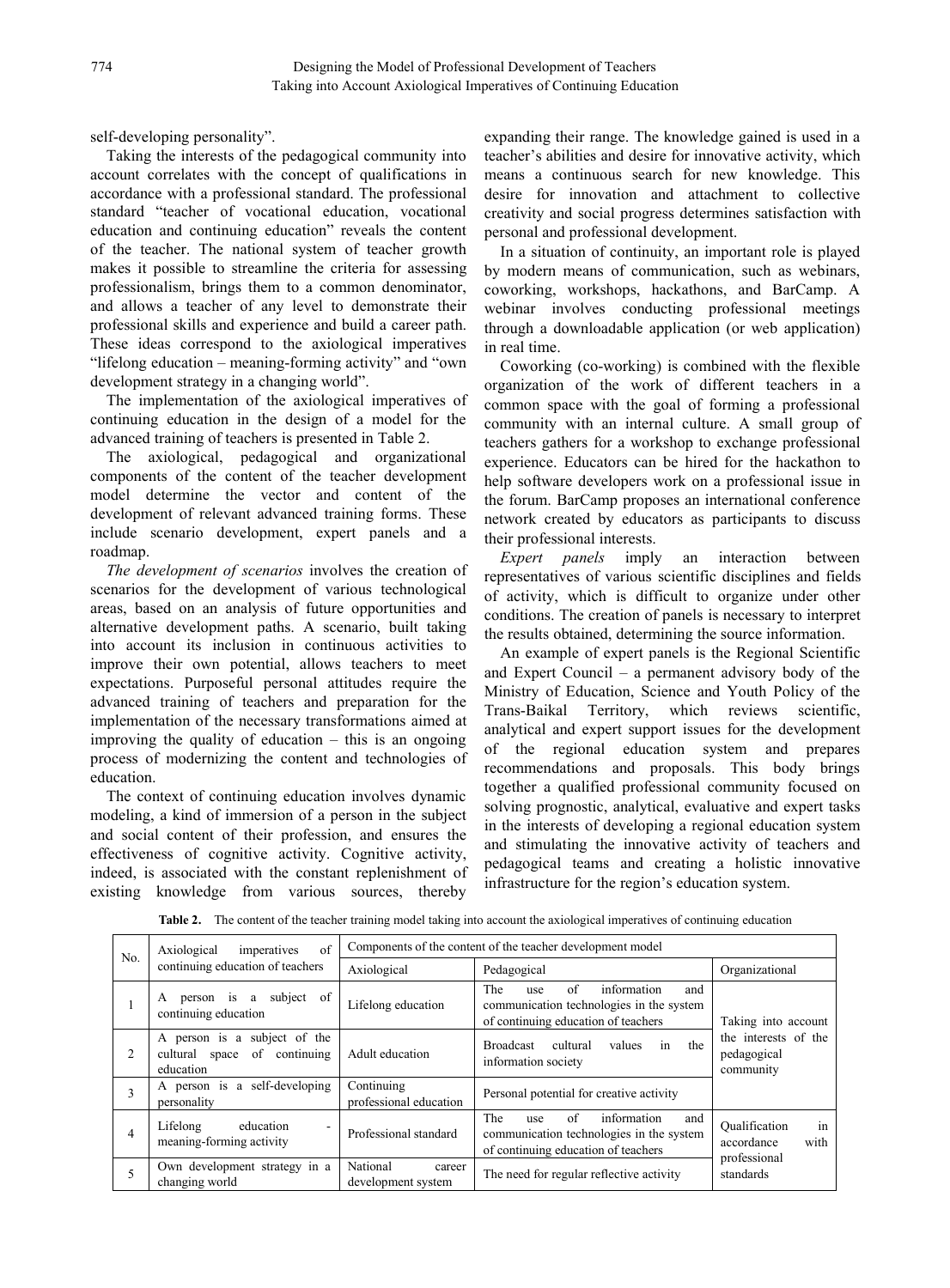self-developing personality".

Taking the interests of the pedagogical community into account correlates with the concept of qualifications in accordance with a professional standard. The professional standard "teacher of vocational education, vocational education and continuing education" reveals the content of the teacher. The national system of teacher growth makes it possible to streamline the criteria for assessing professionalism, brings them to a common denominator, and allows a teacher of any level to demonstrate their professional skills and experience and build a career path. These ideas correspond to the axiological imperatives "lifelong education – meaning-forming activity" and "own development strategy in a changing world".

The implementation of the axiological imperatives of continuing education in the design of a model for the advanced training of teachers is presented in Table 2.

The axiological, pedagogical and organizational components of the content of the teacher development model determine the vector and content of the development of relevant advanced training forms. These include scenario development, expert panels and a roadmap.

*The development of scenarios* involves the creation of scenarios for the development of various technological areas, based on an analysis of future opportunities and alternative development paths. A scenario, built taking into account its inclusion in continuous activities to improve their own potential, allows teachers to meet expectations. Purposeful personal attitudes require the advanced training of teachers and preparation for the implementation of the necessary transformations aimed at improving the quality of education – this is an ongoing process of modernizing the content and technologies of education.

The context of continuing education involves dynamic modeling, a kind of immersion of a person in the subject and social content of their profession, and ensures the effectiveness of cognitive activity. Cognitive activity, indeed, is associated with the constant replenishment of existing knowledge from various sources, thereby

expanding their range. The knowledge gained is used in a teacher's abilities and desire for innovative activity, which means a continuous search for new knowledge. This desire for innovation and attachment to collective creativity and social progress determines satisfaction with personal and professional development.

In a situation of continuity, an important role is played by modern means of communication, such as webinars, coworking, workshops, hackathons, and BarCamp.A webinar involves conducting professional meetings through a downloadable application (or web application) in real time.

Coworking (co-working) is combined with the flexible organization of the work of different teachers in a common space with the goal of forming a professional community with an internal culture. A small group of teachers gathers for a workshop to exchange professional experience. Educators can be hired for the hackathon to help software developers work on a professional issue in the forum. BarCamp proposes an international conference network created by educators as participants to discuss their professional interests.

*Expert panels* imply an interaction between representatives of various scientific disciplines and fields of activity, which is difficult to organize under other conditions. The creation of panels is necessary to interpret the results obtained, determining the source information.

An example of expert panels is the Regional Scientific and Expert Council – a permanent advisory body of the Ministry of Education, Science and Youth Policy of the Trans-Baikal Territory, which reviews scientific, analytical and expert support issues for the development of the regional education system and prepares recommendations and proposals. This body brings together a qualified professional community focused on solving prognostic, analytical, evaluative and expert tasks in the interests of developing a regional education system and stimulating the innovative activity of teachers and pedagogical teams and creating a holistic innovative infrastructure for the region's education system.

| No. | of<br>Axiological<br>imperatives                                              | Components of the content of the teacher development model |                                                                                                                           |                                                  |  |
|-----|-------------------------------------------------------------------------------|------------------------------------------------------------|---------------------------------------------------------------------------------------------------------------------------|--------------------------------------------------|--|
|     | continuing education of teachers                                              | Axiological                                                | Pedagogical                                                                                                               | Organizational                                   |  |
|     | person is a<br>subject of<br>А<br>continuing education                        | Lifelong education                                         | information<br>The<br>of<br>and<br>use<br>communication technologies in the system<br>of continuing education of teachers | Taking into account                              |  |
|     | A person is a subject of the<br>cultural space of continuing<br>education     | Adult education                                            | in<br>cultural<br>the<br><b>Broadcast</b><br>values<br>information society                                                | the interests of the<br>pedagogical<br>community |  |
|     | A person is a self-developing<br>personality                                  | Continuing<br>professional education                       | Personal potential for creative activity                                                                                  |                                                  |  |
| 4   | Lifelong<br>education<br>$\overline{\phantom{a}}$<br>meaning-forming activity | Professional standard                                      | The<br>information<br>of<br>and<br>use<br>communication technologies in the system<br>of continuing education of teachers | in<br>Oualification<br>with<br>accordance        |  |
|     | Own development strategy in a<br>changing world                               | National<br>career<br>development system                   | The need for regular reflective activity                                                                                  | professional<br>standards                        |  |

**Table 2.** The content of the teacher training model taking into account the axiological imperatives of continuing education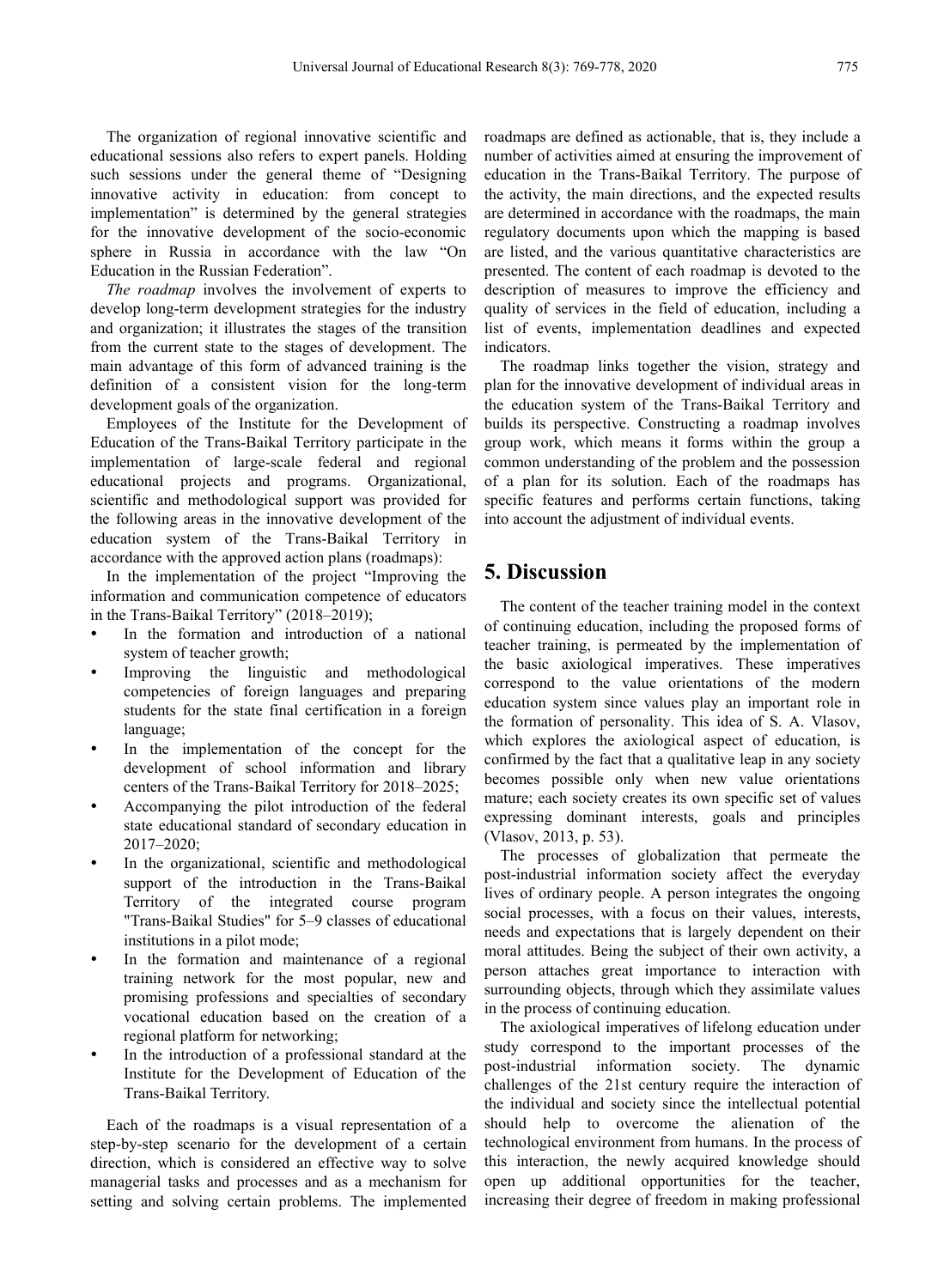The organization of regional innovative scientific and educational sessions also refers to expert panels. Holding such sessions under the general theme of "Designing innovative activity in education: from concept to implementation" is determined by the general strategies for the innovative development of the socio-economic sphere in Russia in accordance with the law "On Education in the Russian Federation".

*The roadmap* involves the involvement of experts to develop long-term development strategies for the industry and organization; it illustrates the stages of the transition from the current state to the stages of development. The main advantage of this form of advanced training is the definition of a consistent vision for the long-term development goals of the organization.

Employees of the Institute for the Development of Education of the Trans-Baikal Territory participate in the implementation of large-scale federal and regional educational projects and programs. Organizational, scientific and methodological support was provided for the following areas in the innovative development of the education system of the Trans-Baikal Territory in accordance with the approved action plans (roadmaps):

In the implementation of the project "Improving the information and communication competence of educators in the Trans-Baikal Territory" (2018–2019);

- In the formation and introduction of a national system of teacher growth;
- Improving the linguistic and methodological competencies of foreign languages and preparing students for the state final certification in a foreign language;
- In the implementation of the concept for the development of school information and library centers of the Trans-Baikal Territory for 2018–2025;
- Accompanying the pilot introduction of the federal state educational standard of secondary education in 2017–2020;
- In the organizational, scientific and methodological support of the introduction in the Trans-Baikal Territory of the integrated course program "Trans-Baikal Studies" for 5–9 classes of educational institutions in a pilot mode;
- In the formation and maintenance of a regional training network for the most popular, new and promising professions and specialties of secondary vocational education based on the creation of a regional platform for networking;
- In the introduction of a professional standard at the Institute for the Development of Education of the Trans-Baikal Territory.

Each of the roadmaps is a visual representation of a step-by-step scenario for the development of a certain direction, which is considered an effective way to solve managerial tasks and processes and as a mechanism for setting and solving certain problems. The implemented

roadmaps are defined as actionable, that is, they include a number of activities aimed at ensuring the improvement of education in the Trans-Baikal Territory. The purpose of the activity, the main directions, and the expected results are determined in accordance with the roadmaps, the main regulatory documents upon which the mapping is based are listed, and the various quantitative characteristics are presented. The content of each roadmap is devoted to the description of measures to improve the efficiency and quality of services in the field of education, including a list of events, implementation deadlines and expected indicators.

The roadmap links together the vision, strategy and plan for the innovative development of individual areas in the education system of the Trans-Baikal Territory and builds its perspective. Constructing a roadmap involves group work, which means it forms within the group a common understanding of the problem and the possession of a plan for its solution. Each of the roadmaps has specific features and performs certain functions, taking into account the adjustment of individual events.

## **5. Discussion**

The content of the teacher training model in the context of continuing education, including the proposed forms of teacher training, is permeated by the implementation of the basic axiological imperatives. These imperatives correspond to the value orientations of the modern education system since values play an important role in the formation of personality. This idea of S. A. Vlasov, which explores the axiological aspect of education, is confirmed by the fact that a qualitative leap in any society becomes possible only when new value orientations mature; each society creates its own specific set of values expressing dominant interests, goals and principles (Vlasov, 2013, p. 53).

The processes of globalization that permeate the post-industrial information society affect the everyday lives of ordinary people. A person integrates the ongoing social processes, with a focus on their values, interests, needs and expectations that is largely dependent on their moral attitudes. Being the subject of their own activity, a person attaches great importance to interaction with surrounding objects, through which they assimilate values in the process of continuing education.

The axiological imperatives of lifelong education under study correspond to the important processes of the post-industrial information society. The dynamic challenges of the 21st century require the interaction of the individual and society since the intellectual potential should help to overcome the alienation of the technological environment from humans. In the process of this interaction, the newly acquired knowledge should open up additional opportunities for the teacher, increasing their degree of freedom in making professional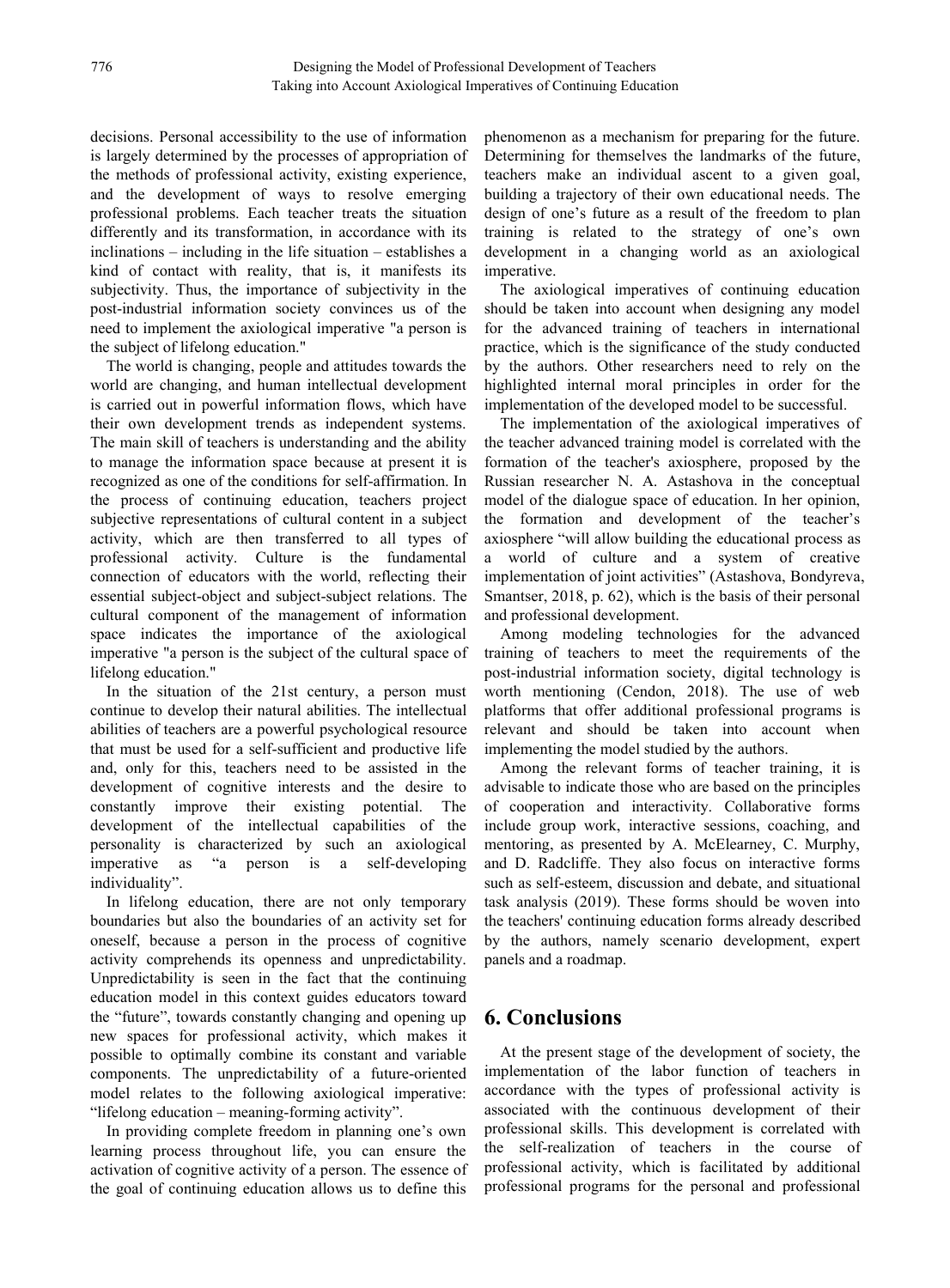decisions. Personal accessibility to the use of information is largely determined by the processes of appropriation of the methods of professional activity, existing experience, and the development of ways to resolve emerging professional problems. Each teacher treats the situation differently and its transformation, in accordance with its inclinations – including in the life situation – establishes a kind of contact with reality, that is, it manifests its subjectivity. Thus, the importance of subjectivity in the post-industrial information society convinces us of the need to implement the axiological imperative "a person is the subject of lifelong education."

The world is changing, people and attitudes towards the world are changing, and human intellectual development is carried out in powerful information flows, which have their own development trends as independent systems. The main skill of teachers is understanding and the ability to manage the information space because at present it is recognized as one of the conditions for self-affirmation. In the process of continuing education, teachers project subjective representations of cultural content in a subject activity, which are then transferred to all types of professional activity. Culture is the fundamental connection of educators with the world, reflecting their essential subject-object and subject-subject relations. The cultural component of the management of information space indicates the importance of the axiological imperative "a person is the subject of the cultural space of lifelong education."

In the situation of the 21st century, a person must continue to develop their natural abilities. The intellectual abilities of teachers are a powerful psychological resource that must be used for a self-sufficient and productive life and, only for this, teachers need to be assisted in the development of cognitive interests and the desire to constantly improve their existing potential. The development of the intellectual capabilities of the personality is characterized by such an axiological imperative as "a person is a self-developing and D. Radcliffe. They also focus on interactive forms individuality".

In lifelong education, there are not only temporary boundaries but also the boundaries of an activity set for oneself, because a person in the process of cognitive activity comprehends its openness and unpredictability. Unpredictability is seen in the fact that the continuing education model in this context guides educators toward the "future", towards constantly changing and opening up new spaces for professional activity, which makes it possible to optimally combine its constant and variable components. The unpredictability of a future-oriented model relates to the following axiological imperative: "lifelong education – meaning-forming activity".

In providing complete freedom in planning one's own learning process throughout life, you can ensure the activation of cognitive activity of a person. The essence of the goal of continuing education allows us to define this

phenomenon as a mechanism for preparing for the future. Determining for themselves the landmarks of the future, teachers make an individual ascent to a given goal, building a trajectory of their own educational needs. The design of one's future as a result of the freedom to plan training is related to the strategy of one's own development in achanging world as an axiological imperative.

The axiological imperatives of continuing education should be taken into account when designing any model for the advanced training of teachers in international practice, which is the significance of the study conducted by the authors. Other researchers need to rely on the highlighted internal moral principles in order for the implementation of the developed model to be successful.

The implementation of the axiological imperatives of the teacher advanced training model is correlated with the formation of the teacher's axiosphere, proposed by the Russian researcher N. A. Astashova in the conceptual model of the dialogue space of education. In her opinion, the formation and development of the teacher's axiosphere "will allow building the educational process as a world of culture and a system of creative implementation of joint activities" (Astashova, Bondyreva, Smantser,  $2018$ , p.  $62$ ), which is the basis of their personal and professional development.

Among modeling technologies for the advanced training of teachers to meet the requirements of the post-industrial information society, digital technology is worth mentioning (Cendon, 2018). The use of web platforms that offer additional professional programs is relevant and should be taken into account when implementing the model studied by the authors.

Among the relevant forms of teacher training, it is advisable to indicate those who are based on the principles of cooperation and interactivity. Collaborative forms include group work, interactive sessions, coaching, and mentoring, as presented by A. McElearney, C. Murphy, such as self-esteem, discussion and debate, and situational task analysis (2019). These forms should be woven into the teachers' continuing education forms already described by the authors, namely scenario development, expert panels and a roadmap.

# **6. Conclusions**

At the present stage of the development of society, the implementation of the labor function of teachers in accordance with the types of professional activity is associated with the continuous development of their professional skills. This development is correlated with the self-realization of teachers in the course of professional activity, which is facilitated by additional professional programs for the personal and professional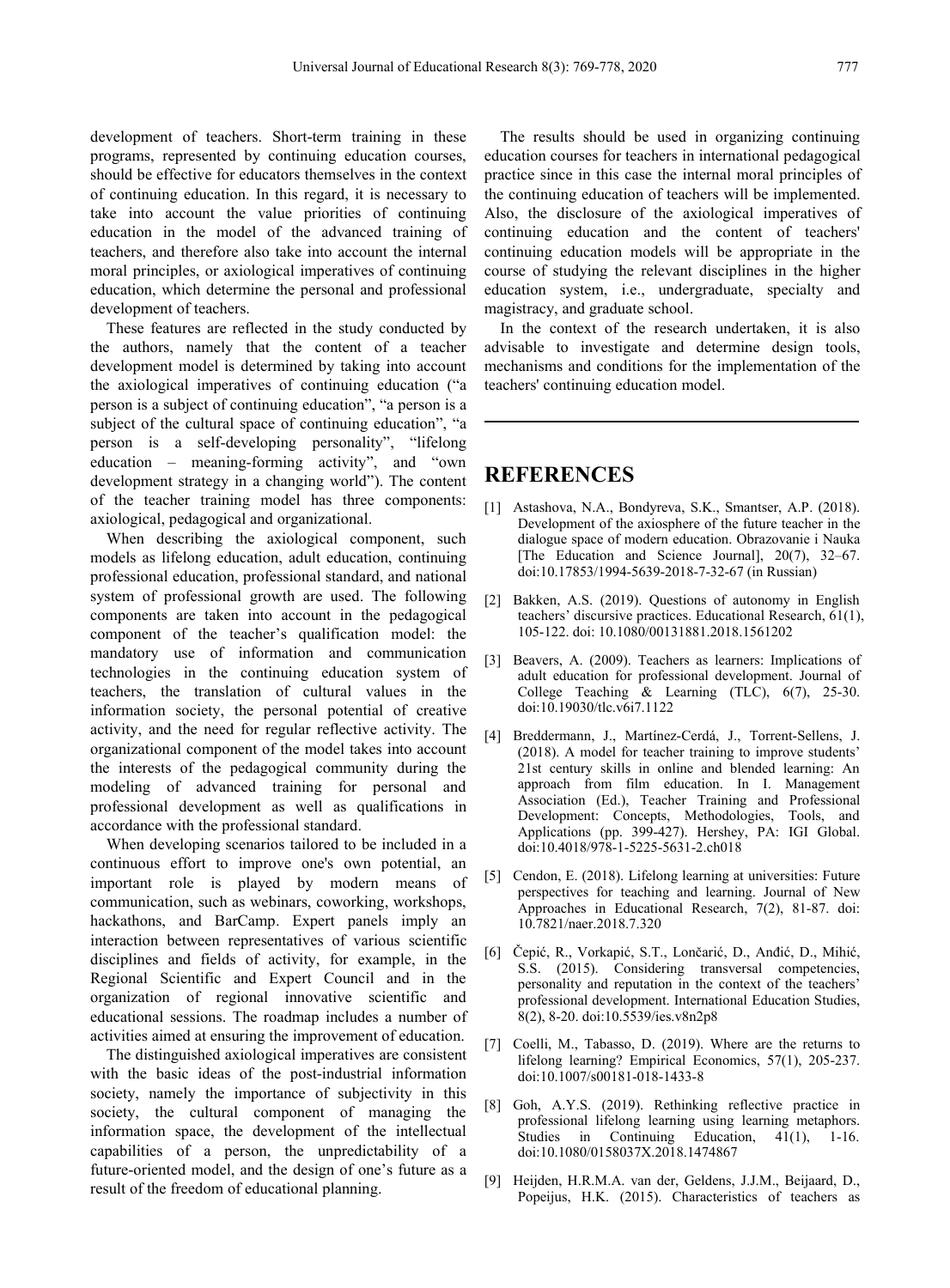development of teachers. Short-term training in these programs, represented by continuing education courses, should be effective for educators themselves in the context of continuing education. In this regard, it is necessary to take into account the value priorities of continuing education in the model of the advanced training of teachers, and therefore also take into account the internal moral principles, or axiological imperatives of continuing education, which determine the personal and professional development of teachers.

These features are reflected in the study conducted by the authors, namely that the content of a teacher development model is determined by taking into account the axiological imperatives of continuing education ("a person is a subject of continuing education", "a person is a subject of the cultural space of continuing education", "a person is a self-developing personality", "lifelong education – meaning-forming activity", and "own development strategy in a changing world"). The content of the teacher training model has three components: axiological, pedagogical and organizational.

When describing the axiological component, such models as lifelong education, adult education, continuing professional education, professional standard, and national system of professional growth are used. The following [2] components are taken into account in the pedagogical component of the teacher's qualification model: the mandatory use of information and communication technologies in the continuing education system of teachers, the translation of cultural values in the information society, the personal potential of creative activity, and the need for regular reflective activity.The organizational component of the model takes into account the interests of the pedagogical community during the modeling of advanced training for personal and professional development as well as qualifications in accordance with the professional standard.

When developing scenarios tailored to be included in a continuous effort to improve one's own potential, an important role is played by modern means of communication, such as webinars, coworking, workshops, hackathons, and BarCamp. Expert panels imply an interaction between representatives of various scientific disciplines and fields of activity, for example, in the Regional Scientific and Expert Council and in the organization of regional innovative scientific and educational sessions. The roadmap includes a number of activities aimed at ensuring the improvement of education.

The distinguished axiological imperatives are consistent with the basic ideas of the post-industrial information society, namely the importance of subjectivity in this society, the cultural component of managing the information space, the development of the intellectual capabilities of a person, the unpredictability of a future-oriented model, and the design of one's future as a result of the freedom of educational planning.

The results should be used in organizing continuing education courses for teachers in international pedagogical practice since in this case the internal moral principles of the continuing education of teachers will be implemented. Also, the disclosure of the axiological imperatives of continuing education and the content of teachers' continuing education models will be appropriate in the course of studying the relevant disciplines in the higher education system, i.e., undergraduate, specialty and magistracy, and graduate school.

In the context of the research undertaken, it is also advisable to investigate and determine design tools, mechanisms and conditions for the implementation of the teachers' continuing education model.

### **REFERENCES**

- [1] Astashova, N.A., Bondyreva, S.K., Smantser, A.P. (2018). Development of the axiosphere of the future teacher in the dialogue space of modern education. [Obrazovanie](https://ez.el.fa.ru:2136/sourceid/21100900514?origin=recordpage) i Nauka [The Education and Science Journal], 20(7), 32–67. doi:10.17853/1994-5639-2018-7-32-67 (in Russian)
- Bakken, A.S. (2019). Questions of autonomy in English teachers' discursive practices. Educational Research, 61(1), 105-122. doi: 10.1080/00131881.2018.1561202
- [3] Beavers, A. (2009). Teachers as learners: Implications of adult education for professional development. Journal of College Teaching & Learning (TLC), 6(7), 25-30. doi:10.19030/tlc.v6i7.1122
- [4] Breddermann, J., Martínez-Cerdá, J., Torrent-Sellens, J. (2018). A model for teacher training to improve students' 21st century skills in online and blended learning: An approach from film education. In I. Management Association (Ed.), Teacher Training and Professional Development: Concepts, Methodologies, Tools, and Applications (pp. 399-427). Hershey, PA: IGI Global. doi:10.4018/978-1-5225-5631-2.ch018
- [5] Cendon, E. (2018). Lifelong learning at universities: Future perspectives for teaching and learning. Journal of New Approaches in Educational Research, 7(2), 81-87. doi: 10.7821/naer.2018.7.320
- [6] Čepić, R., Vorkapić, S.T., Lončarić, D., Anđić, D., Mihić, S.S. (2015). Considering transversal competencies, personality and reputation in the context of the teachers' professional development. International Education Studies, 8(2), 8-20. doi:10.5539/ies.v8n2p8
- [7] Coelli, M., Tabasso, D. (2019). Where are the returns to lifelong learning? Empirical Economics, 57(1), 205-237. doi:10.1007/s00181-018-1433-8
- [8] Goh, A.Y.S. (2019). Rethinking reflective practice in professional lifelong learning using learning metaphors. Studies in Continuing Education, 41(1), 1-16. doi:10.1080/0158037X.2018.1474867
- [9] Heijden, H.R.M.A. van der, Geldens, J.J.M., Beijaard, D., Popeijus, H.K. (2015). Characteristics of teachers as